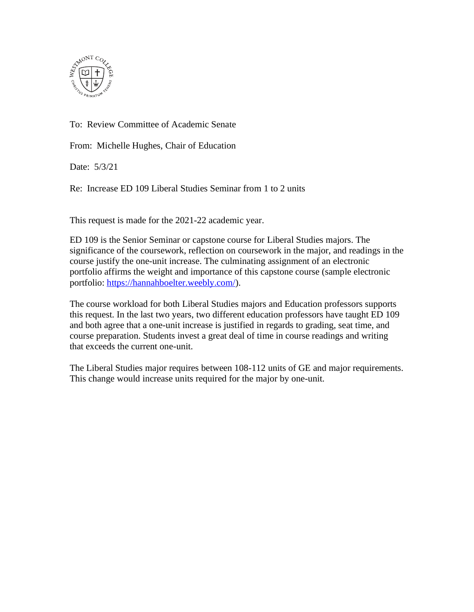

To: Review Committee of Academic Senate

From: Michelle Hughes, Chair of Education

Date: 5/3/21

Re: Increase ED 109 Liberal Studies Seminar from 1 to 2 units

This request is made for the 2021-22 academic year.

ED 109 is the Senior Seminar or capstone course for Liberal Studies majors. The significance of the coursework, reflection on coursework in the major, and readings in the course justify the one-unit increase. The culminating assignment of an electronic portfolio affirms the weight and importance of this capstone course (sample electronic portfolio: [https://hannahboelter.weebly.com/\)](https://hannahboelter.weebly.com/).

The course workload for both Liberal Studies majors and Education professors supports this request. In the last two years, two different education professors have taught ED 109 and both agree that a one-unit increase is justified in regards to grading, seat time, and course preparation. Students invest a great deal of time in course readings and writing that exceeds the current one-unit.

The Liberal Studies major requires between 108-112 units of GE and major requirements. This change would increase units required for the major by one-unit.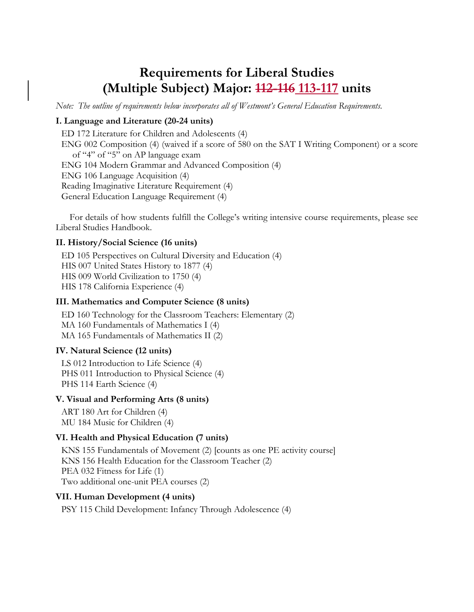# **Requirements for Liberal Studies (Multiple Subject) Major: 112-116 113-117 units**

*Note: The outline of requirements below incorporates all of Westmont's General Education Requirements.* 

## **I. Language and Literature (20-24 units)**

ED 172 Literature for Children and Adolescents (4) ENG 002 Composition (4) (waived if a score of 580 on the SAT I Writing Component) or a score of "4" of "5" on AP language exam ENG 104 Modern Grammar and Advanced Composition (4) ENG 106 Language Acquisition (4) Reading Imaginative Literature Requirement (4) General Education Language Requirement (4)

For details of how students fulfill the College's writing intensive course requirements, please see Liberal Studies Handbook.

#### **II. History/Social Science (16 units)**

ED 105 Perspectives on Cultural Diversity and Education (4) HIS 007 United States History to 1877 (4) HIS 009 World Civilization to 1750 (4) HIS 178 California Experience (4)

### **III. Mathematics and Computer Science (8 units)**

ED 160 Technology for the Classroom Teachers: Elementary (2) MA 160 Fundamentals of Mathematics I (4) MA 165 Fundamentals of Mathematics II (2)

### **IV. Natural Science (12 units)**

LS 012 Introduction to Life Science (4) PHS 011 Introduction to Physical Science (4) PHS 114 Earth Science (4)

### **V. Visual and Performing Arts (8 units)**

ART 180 Art for Children (4) MU 184 Music for Children (4)

### **VI. Health and Physical Education (7 units)**

KNS 155 Fundamentals of Movement (2) [counts as one PE activity course] KNS 156 Health Education for the Classroom Teacher (2) PEA 032 Fitness for Life (1) Two additional one-unit PEA courses (2)

### **VII. Human Development (4 units)**

PSY 115 Child Development: Infancy Through Adolescence (4)